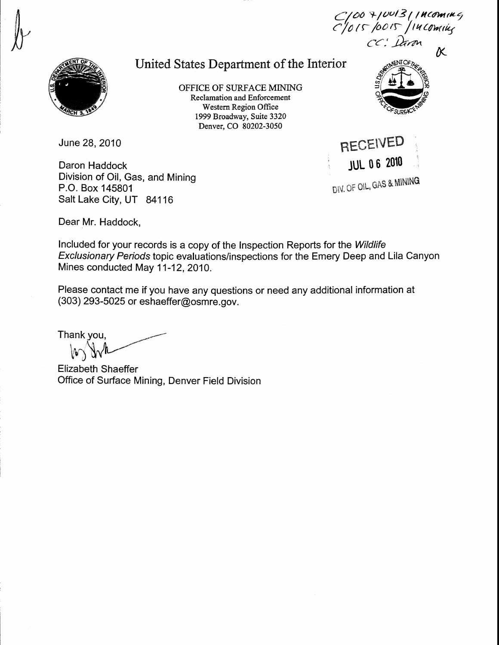## United States Department of the Interior

OFFICE OF SURFACE MINING Reclamation and Enforcement Western Region Office 1999 Broadway, Suite 3320 Denver, CO 80202-3050



 $C$ /00 7/0013 ( Th(oming  $c$ /015/0015/14 Coming CC: Darm

 $\overline{\kappa}$ 

June 28, 2010

Daron Haddock Division of Oil, Gas, and Mining P.O, Box 145801 Salt Lake City, UT 84116

RECEIVED JuL 0 0 2010 DIV. OF OIL, GAS & MINING

Dear Mr. Haddock,

Included for your records is a copy of the Inspection Reports for the Wildlife Exclusionary Periods topic evaluations/inspections for the Emery Deep and Lila Canyon Mines conducted May 11-12, 2010.

Please contact me if you have any questions or need any additional information at (303) 293-5025 or eshaeffer@osmre. gov.

Thank you, ₩

Elizabeth Shaeffer Office of Surface Mining, Denver Field Division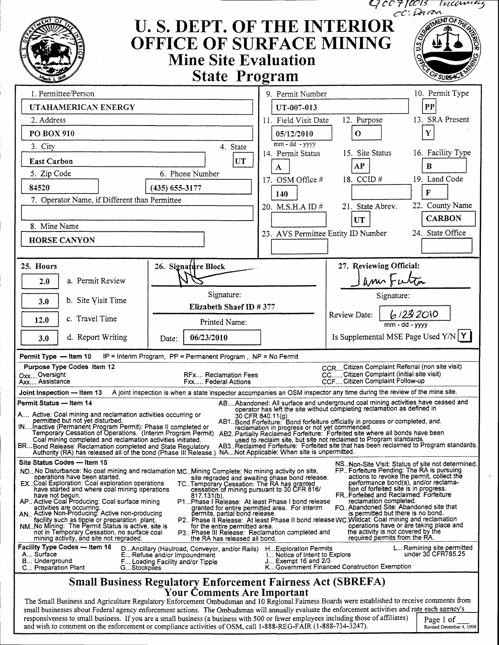|                                                                                                                                                                                                                                                                                                                                                                                                                                 |                                                                                                                       |                                                                         |                                 | GOO710013 Inconvers<br>cc: Daron                                                                               |  |  |
|---------------------------------------------------------------------------------------------------------------------------------------------------------------------------------------------------------------------------------------------------------------------------------------------------------------------------------------------------------------------------------------------------------------------------------|-----------------------------------------------------------------------------------------------------------------------|-------------------------------------------------------------------------|---------------------------------|----------------------------------------------------------------------------------------------------------------|--|--|
|                                                                                                                                                                                                                                                                                                                                                                                                                                 | <b>U. S. DEPT. OF THE INTERIOR</b><br>OFFICE OF SURFACE MINING<br><b>Mine Site Evaluation</b><br><b>State Program</b> |                                                                         |                                 | <b>NENT OF THE</b><br>OF SUREA                                                                                 |  |  |
| 1. Permittee/Person                                                                                                                                                                                                                                                                                                                                                                                                             |                                                                                                                       | 9. Permit Number                                                        |                                 | 10. Permit Type                                                                                                |  |  |
| UTAHAMERICAN ENERGY                                                                                                                                                                                                                                                                                                                                                                                                             |                                                                                                                       | $\bf PP$<br>UT-007-013                                                  |                                 |                                                                                                                |  |  |
| 2. Address                                                                                                                                                                                                                                                                                                                                                                                                                      |                                                                                                                       | 11. Field Visit Date                                                    | 12. Purpose                     | 13. SRA Present                                                                                                |  |  |
| PO BOX 910                                                                                                                                                                                                                                                                                                                                                                                                                      |                                                                                                                       | 05/12/2010<br>O                                                         |                                 |                                                                                                                |  |  |
| 3. City                                                                                                                                                                                                                                                                                                                                                                                                                         | 4. State                                                                                                              | $mm - dd - yyyy$                                                        |                                 |                                                                                                                |  |  |
|                                                                                                                                                                                                                                                                                                                                                                                                                                 |                                                                                                                       | 14. Permit Status                                                       | 15. Site Status                 | 16. Facility Type                                                                                              |  |  |
| <b>East Carbon</b>                                                                                                                                                                                                                                                                                                                                                                                                              | UT<br>6. Phone Number                                                                                                 | A                                                                       | AP                              | B                                                                                                              |  |  |
| 5. Zip Code                                                                                                                                                                                                                                                                                                                                                                                                                     |                                                                                                                       | 17. OSM Office #                                                        | 18. CCID#                       | 19. Land Code                                                                                                  |  |  |
| 84520                                                                                                                                                                                                                                                                                                                                                                                                                           | $(435) 655 - 3177$                                                                                                    | 140                                                                     |                                 | F                                                                                                              |  |  |
| 7. Operator Name, if Different than Permittee                                                                                                                                                                                                                                                                                                                                                                                   |                                                                                                                       | 20. M.S.H.A ID #                                                        | 21. State Abrev.                | 22. County Name                                                                                                |  |  |
|                                                                                                                                                                                                                                                                                                                                                                                                                                 |                                                                                                                       |                                                                         | <b>UT</b>                       | <b>CARBON</b>                                                                                                  |  |  |
| 8. Mine Name                                                                                                                                                                                                                                                                                                                                                                                                                    |                                                                                                                       | 23. AVS Permittee Entity ID Number                                      |                                 | 24. State Office                                                                                               |  |  |
| <b>HORSE CANYON</b>                                                                                                                                                                                                                                                                                                                                                                                                             |                                                                                                                       |                                                                         |                                 |                                                                                                                |  |  |
| 25. Hours                                                                                                                                                                                                                                                                                                                                                                                                                       | 26. Signature Block                                                                                                   |                                                                         |                                 | 27. Reviewing Official:                                                                                        |  |  |
| a. Permit Review<br>2.0                                                                                                                                                                                                                                                                                                                                                                                                         |                                                                                                                       |                                                                         |                                 | Janne Futur                                                                                                    |  |  |
|                                                                                                                                                                                                                                                                                                                                                                                                                                 | Signature:                                                                                                            |                                                                         |                                 | Signature:                                                                                                     |  |  |
| b. Site Visit Time<br>3.0                                                                                                                                                                                                                                                                                                                                                                                                       | Elizabeth Shaef ID #377                                                                                               |                                                                         |                                 |                                                                                                                |  |  |
| c. Travel Time<br>12.0                                                                                                                                                                                                                                                                                                                                                                                                          | Printed Name:                                                                                                         |                                                                         | Review Date:                    | 61232010<br>$mm - dd - yyyy$                                                                                   |  |  |
| d. Report Writing<br>3.0                                                                                                                                                                                                                                                                                                                                                                                                        | 06/23/2010<br>Date:                                                                                                   |                                                                         |                                 | Is Supplemental MSE Page Used $Y/N$                                                                            |  |  |
| IP = Interim Program, $PP =$ Permanent Program, $NP = No$ Permit<br>Permit Type - Item 10                                                                                                                                                                                                                                                                                                                                       |                                                                                                                       |                                                                         |                                 |                                                                                                                |  |  |
| Purpose Type Codes Item 12<br>OxxOversight                                                                                                                                                                                                                                                                                                                                                                                      | RFx Reclamation Fees                                                                                                  |                                                                         |                                 | CCR Citizen Complaint Referral (non site visit)<br>CC Citizen Complaint (initial site visit)                   |  |  |
| Axx Assistance                                                                                                                                                                                                                                                                                                                                                                                                                  | Fxx Federal Actions                                                                                                   |                                                                         | CCF Citizen Complaint Follow-up |                                                                                                                |  |  |
| A joint inspection is when a state inspector accompanies an OSM inspector any time during the review of the mine site.<br>Joint Inspection — Item 13<br>ABAbandoned: All surface and underground coal mining activities have ceased and                                                                                                                                                                                         |                                                                                                                       |                                                                         |                                 |                                                                                                                |  |  |
| Permit Status — Item 14                                                                                                                                                                                                                                                                                                                                                                                                         |                                                                                                                       | operator has left the site without completing reclamation as defined in |                                 |                                                                                                                |  |  |
| A, Active: Coal mining and reclamation activities occurring or<br>30 CFR 840.11(g)<br>permitted but not yet disturbed.<br>AB1. Bond Forfeiture: Bond forfeiture officially in process or completed, and.                                                                                                                                                                                                                        |                                                                                                                       |                                                                         |                                 |                                                                                                                |  |  |
| INInactive (Permanent Program Permit): Phase II completed or<br>reclamation in progress or not yet commenced.<br>Temporary Cessation of Operations. (Interim Program Permit) AB2. Partially Reclaimed Forfeiture: Forfeited site where all bonds have been                                                                                                                                                                      |                                                                                                                       |                                                                         |                                 |                                                                                                                |  |  |
| used to reclaim site, but site not reclaimed to Program standards.<br>Coal mining completed and reclamation activities initiated.<br>AB3. Reclaimed Forfeiture: Forfeited site that has been reclaimed to Program standards.<br>BRBond Release: Reclamation completed and State Regulatory<br>Authority (RA) has released all of the bond (Phase III Release.) NANot Applicable: When site is unpermitted.                      |                                                                                                                       |                                                                         |                                 |                                                                                                                |  |  |
| Site Status Codes - Item 15                                                                                                                                                                                                                                                                                                                                                                                                     |                                                                                                                       |                                                                         |                                 | NS. Non-Site Visit: Status of site not determined.                                                             |  |  |
| FP., Forfeiture Pending: The RA is pursuing<br>ND., No Disturbance: No coal mining and reclamation MC. Mining Complete: No mining activity on site,<br>actions to revoke the permit, collect the<br>operations have been started.<br>site regraded and awaiting phase bond release.                                                                                                                                             |                                                                                                                       |                                                                         |                                 |                                                                                                                |  |  |
| performance bond(s), and/or reclama-<br>EX. Coal Exploration: Coal exploration operations<br>TC. Temporary Cessation: The RA has granted<br>tion of forfeited site is in progress.<br>have started and where coal mining operations<br>cessation of mining pursuant to 30 CFR 816/                                                                                                                                              |                                                                                                                       |                                                                         |                                 |                                                                                                                |  |  |
| FR. Forfeited and Reclaimed: Forfeiture<br>have not begun.<br>817.131(b).<br>reclamation completed.<br>AP Active Coal Producing: Coal surface mining<br>P1Phase I Release: At least Phase I bond release                                                                                                                                                                                                                        |                                                                                                                       |                                                                         |                                 |                                                                                                                |  |  |
| FO. Abandoned Site: Abandoned site that<br>activities are occurring.<br>granted for entire permitted area. For interim<br>AN., Active Non-Producing: Active non-producing<br>is permitted but there is no bond.<br>permits, partial bond release.<br>P2 Phase II Release: At least Phase II bond release WC Wildcat: Coal mining and reclamation                                                                                |                                                                                                                       |                                                                         |                                 |                                                                                                                |  |  |
| facility such as tipple or preparation plant.<br>NM. No Mining: The Permit Status is active, site is<br>not in Temporary Cessation, no surface coal<br>mining activity, and site not regraded.                                                                                                                                                                                                                                  | for the entire permitted area.<br>P3. Phase III Release: Reclamation completed and<br>the RA has released all bond.   |                                                                         |                                 | operations have or are taking place and<br>the activity is not covered by the<br>required permits from the RA. |  |  |
| Facility Type Codes — Item 16<br>L Remining site permitted<br>DAncillary (Haulroad, Conveyor, and/or Rails) HExploration Permits<br>under 30 CFR785.25<br>A Surface<br><b>I Notice of Intent to Explore</b><br>E Refuse and/or impoundment<br>B Underground<br>$J_{\dots}$ Exempt 16 and 2/3<br>F Loading Facility and/or Tipple<br>KGovernment Financed Construction Exemption<br>C Preparation Plant<br>GStockpiles           |                                                                                                                       |                                                                         |                                 |                                                                                                                |  |  |
| <b>Small Business Regulatory Enforcement Fairness Act (SBREFA)</b>                                                                                                                                                                                                                                                                                                                                                              |                                                                                                                       |                                                                         |                                 |                                                                                                                |  |  |
| <b>Your Comments Are Important</b>                                                                                                                                                                                                                                                                                                                                                                                              |                                                                                                                       |                                                                         |                                 |                                                                                                                |  |  |
| The Small Business and Agriculture Regulatory Enforcement Ombudsman and 10 Regional Fairness Boards were established to receive comments from<br>small businesses about Federal agency enforcement actions. The Ombudsman will annually evaluate the enforcement activities and rate each agency's<br>nece to small business. If you are a small business (a business with 500 on farmer amplessed including those of efficies) |                                                                                                                       |                                                                         |                                 |                                                                                                                |  |  |

responsiveness to small business. If you are a small business (a business with 500 or fewer employees including those of affiliates) and wish to comment on the enforcement or compliance activities of OSM, call 1-888-REG-FA

Page 1 of<br>Revised December 4, 1998

 $\ell$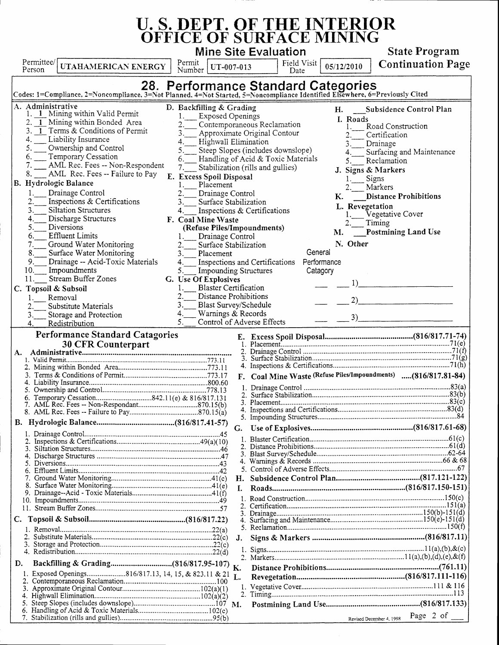## **U. S. DEPT. OF THE INTERIOR OFFICE OF SURFACE MINING**

Mine Site Evaluation  $\overline{\mathsf{T}}$  close  $\overline{\mathsf{T}}$  $\overline{1}$  Dermit  $\overline{1}$ 

State Program<br>Continuation Page

| Permittee/<br>UTAHAMERICAN ENERGY<br>Person                                                                                                                                                                                                                                                                                                                                                                                                                                                                                                                                                                                                                                                                                                                                      | Permit<br>UT-007-013<br>Number                                                                                                                                                                                                                                                                                                                                                                                                                                                                                                                                                                                                                                                                           | Field Visit<br>05/12/2010<br>Date                                                                                                                                                     | <b>Continuation Page</b>                                                                                                                                                                                                                                                              |  |  |
|----------------------------------------------------------------------------------------------------------------------------------------------------------------------------------------------------------------------------------------------------------------------------------------------------------------------------------------------------------------------------------------------------------------------------------------------------------------------------------------------------------------------------------------------------------------------------------------------------------------------------------------------------------------------------------------------------------------------------------------------------------------------------------|----------------------------------------------------------------------------------------------------------------------------------------------------------------------------------------------------------------------------------------------------------------------------------------------------------------------------------------------------------------------------------------------------------------------------------------------------------------------------------------------------------------------------------------------------------------------------------------------------------------------------------------------------------------------------------------------------------|---------------------------------------------------------------------------------------------------------------------------------------------------------------------------------------|---------------------------------------------------------------------------------------------------------------------------------------------------------------------------------------------------------------------------------------------------------------------------------------|--|--|
| 28. Performance Standard Categories<br>Codes: 1=Compliance, 2=Noncompliance, 3=Not Planned, 4=Not Started, 5=Noncompliance Identified Elsewhere, 6=Previously Cited                                                                                                                                                                                                                                                                                                                                                                                                                                                                                                                                                                                                              |                                                                                                                                                                                                                                                                                                                                                                                                                                                                                                                                                                                                                                                                                                          |                                                                                                                                                                                       |                                                                                                                                                                                                                                                                                       |  |  |
| A. Administrative<br>1. 1 Mining within Valid Permit<br>2. 1 Mining within Bonded Area<br>3. 1 Terms & Conditions of Permit<br>Liability Insurance<br>4.<br>5.<br>Ownership and Control<br>Temporary Cessation<br>6.<br>AML Rec. Fees -- Non-Respondent<br>7.<br>AML Rec. Fees -- Failure to Pay<br>8.<br>B. Hydrologic Balance<br>Drainage Control<br>1.<br>2.<br>Inspections & Certifications<br><b>Siltation Structures</b><br>3.<br>Discharge Structures<br>4.<br>5.<br>Diversions<br><b>Effluent Limits</b><br>6.<br>Ground Water Monitoring<br>7.<br>8.<br>Surface Water Monitoring<br>9.<br>Drainage -- Acid-Toxic Materials<br>10.<br>Impoundments<br>Stream Buffer Zones<br>11.<br>Topsoil & Subsoil<br>C.<br>Removal<br>Substitute Materials<br>Storage and Protection | D. Backfilling & Grading<br><b>Exposed Openings</b><br>Contemporaneous Reclamation<br>3.<br>Approximate Original Contour<br>Highwall Elimination<br>4.<br>Steep Slopes (includes downslope)<br>5.<br>Stabilization (rills and gullies)<br>7.<br>E. Excess Spoil Disposal<br>Placement<br>Drainage Control<br>3.<br>Surface Stabilization<br>Inspections & Certifications<br>4.<br>F. Coal Mine Waste<br>(Refuse Piles/Impoundments)<br>Drainage Control<br>2.<br>Surface Stabilization<br>3.<br>Placement<br>4.<br>5.<br><b>Impounding Structures</b><br>G. Use Of Explosives<br><b>Blaster Certification</b><br>Distance Prohibitions<br>3.<br><b>Blast Survey/Schedule</b><br>4.<br>Warnings & Records | H.<br>I. Roads<br>3.<br>4.<br>Handling of Acid & Toxic Materials<br>5.<br>К.<br>M.<br>N. Other<br>General<br>Inspections and Certifications Performance<br>Catagory<br>1)<br>2)<br>3) | Subsidence Control Plan<br>Road Construction<br>Certification<br>Drainage<br>Surfacing and Maintenance<br>Reclamation<br>J. Signs & Markers<br><b>Signs</b><br>Markers<br><b>Distance Prohibitions</b><br>L. Revegetation<br>Vegetative Cover<br>Timing<br><b>Postmining Land Use</b> |  |  |
| Control of Adverse Effects<br>5.<br>Redistribution<br>4.<br><b>Performance Standard Catagories</b>                                                                                                                                                                                                                                                                                                                                                                                                                                                                                                                                                                                                                                                                               |                                                                                                                                                                                                                                                                                                                                                                                                                                                                                                                                                                                                                                                                                                          |                                                                                                                                                                                       |                                                                                                                                                                                                                                                                                       |  |  |
| A.<br>C.                                                                                                                                                                                                                                                                                                                                                                                                                                                                                                                                                                                                                                                                                                                                                                         | 3.<br>Н.<br>J.                                                                                                                                                                                                                                                                                                                                                                                                                                                                                                                                                                                                                                                                                           | F. Coal Mine Waste (Refuse Piles/Impoundments)  (816/817.81-84)                                                                                                                       |                                                                                                                                                                                                                                                                                       |  |  |
| D.<br>1. Exposed Openings816/817.13, 14, 15, & 823.11 & 21                                                                                                                                                                                                                                                                                                                                                                                                                                                                                                                                                                                                                                                                                                                       | L.                                                                                                                                                                                                                                                                                                                                                                                                                                                                                                                                                                                                                                                                                                       |                                                                                                                                                                                       |                                                                                                                                                                                                                                                                                       |  |  |
|                                                                                                                                                                                                                                                                                                                                                                                                                                                                                                                                                                                                                                                                                                                                                                                  |                                                                                                                                                                                                                                                                                                                                                                                                                                                                                                                                                                                                                                                                                                          |                                                                                                                                                                                       | Revised December 4, 1998 Page 2 of _____                                                                                                                                                                                                                                              |  |  |